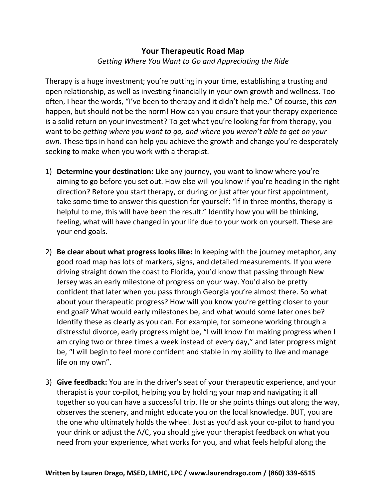## **Your Therapeutic Road Map** *Getting Where You Want to Go and Appreciating the Ride*

Therapy is a huge investment; you're putting in your time, establishing a trusting and open relationship, as well as investing financially in your own growth and wellness. Too often, I hear the words, "I've been to therapy and it didn't help me." Of course, this *can* happen, but should not be the norm! How can you ensure that your therapy experience is a solid return on your investment? To get what you're looking for from therapy, you want to be *getting where you want to go, and where you weren't able to get on your own*. These tips in hand can help you achieve the growth and change you're desperately seeking to make when you work with a therapist.

- 1) **Determine your destination:** Like any journey, you want to know where you're aiming to go before you set out. How else will you know if you're heading in the right direction? Before you start therapy, or during or just after your first appointment, take some time to answer this question for yourself: "If in three months, therapy is helpful to me, this will have been the result." Identify how you will be thinking, feeling, what will have changed in your life due to your work on yourself. These are your end goals.
- 2) **Be clear about what progress looks like:** In keeping with the journey metaphor, any good road map has lots of markers, signs, and detailed measurements. If you were driving straight down the coast to Florida, you'd know that passing through New Jersey was an early milestone of progress on your way. You'd also be pretty confident that later when you pass through Georgia you're almost there. So what about your therapeutic progress? How will you know you're getting closer to your end goal? What would early milestones be, and what would some later ones be? Identify these as clearly as you can. For example, for someone working through a distressful divorce, early progress might be, "I will know I'm making progress when I am crying two or three times a week instead of every day," and later progress might be, "I will begin to feel more confident and stable in my ability to live and manage life on my own".
- 3) **Give feedback:** You are in the driver's seat of your therapeutic experience, and your therapist is your co-pilot, helping you by holding your map and navigating it all together so you can have a successful trip. He or she points things out along the way, observes the scenery, and might educate you on the local knowledge. BUT, you are the one who ultimately holds the wheel. Just as you'd ask your co-pilot to hand you your drink or adjust the A/C, you should give your therapist feedback on what you need from your experience, what works for you, and what feels helpful along the